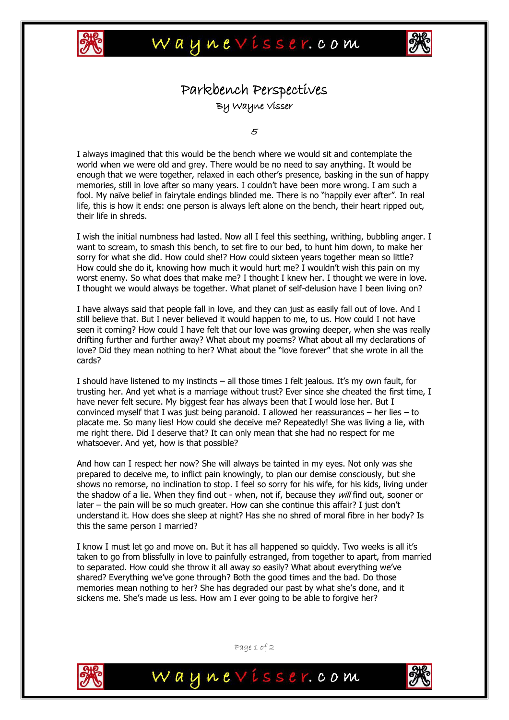



## Parkbench Perspectives By Wayne Visser

5

I always imagined that this would be the bench where we would sit and contemplate the world when we were old and grey. There would be no need to say anything. It would be enough that we were together, relaxed in each other's presence, basking in the sun of happy memories, still in love after so many years. I couldn't have been more wrong. I am such a fool. My naïve belief in fairytale endings blinded me. There is no "happily ever after". In real life, this is how it ends: one person is always left alone on the bench, their heart ripped out, their life in shreds.

I wish the initial numbness had lasted. Now all I feel this seething, writhing, bubbling anger. I want to scream, to smash this bench, to set fire to our bed, to hunt him down, to make her sorry for what she did. How could she!? How could sixteen years together mean so little? How could she do it, knowing how much it would hurt me? I wouldn't wish this pain on my worst enemy. So what does that make me? I thought I knew her. I thought we were in love. I thought we would always be together. What planet of self-delusion have I been living on?

I have always said that people fall in love, and they can just as easily fall out of love. And I still believe that. But I never believed it would happen to me, to us. How could I not have seen it coming? How could I have felt that our love was growing deeper, when she was really drifting further and further away? What about my poems? What about all my declarations of love? Did they mean nothing to her? What about the "love forever" that she wrote in all the cards?

I should have listened to my instincts – all those times I felt jealous. It's my own fault, for trusting her. And yet what is a marriage without trust? Ever since she cheated the first time, I have never felt secure. My biggest fear has always been that I would lose her. But I convinced myself that I was just being paranoid. I allowed her reassurances – her lies – to placate me. So many lies! How could she deceive me? Repeatedly! She was living a lie, with me right there. Did I deserve that? It can only mean that she had no respect for me whatsoever. And yet, how is that possible?

And how can I respect her now? She will always be tainted in my eyes. Not only was she prepared to deceive me, to inflict pain knowingly, to plan our demise consciously, but she shows no remorse, no inclination to stop. I feel so sorry for his wife, for his kids, living under the shadow of a lie. When they find out - when, not if, because they will find out, sooner or later – the pain will be so much greater. How can she continue this affair? I just don't understand it. How does she sleep at night? Has she no shred of moral fibre in her body? Is this the same person I married?

I know I must let go and move on. But it has all happened so quickly. Two weeks is all it's taken to go from blissfully in love to painfully estranged, from together to apart, from married to separated. How could she throw it all away so easily? What about everything we've shared? Everything we've gone through? Both the good times and the bad. Do those memories mean nothing to her? She has degraded our past by what she's done, and it sickens me. She's made us less. How am I ever going to be able to forgive her?



Page 1 of 2